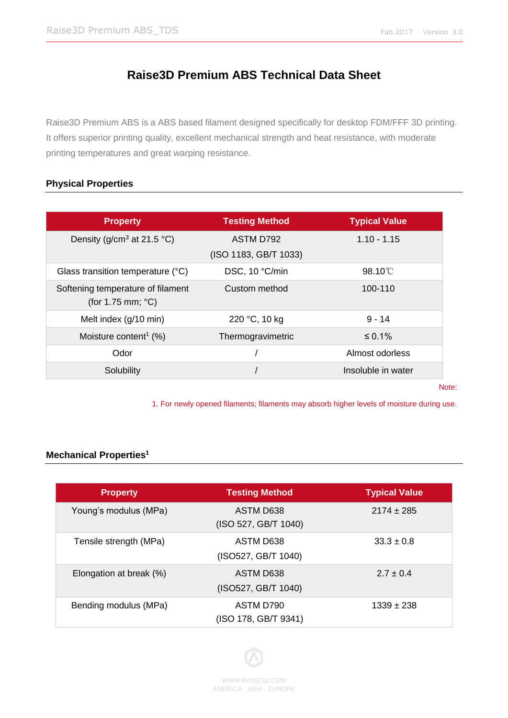# **Raise3D Premium ABS Technical Data Sheet**

Raise3D Premium ABS is a ABS based filament designed specifically for desktop FDM/FFF 3D printing. It offers superior printing quality, excellent mechanical strength and heat resistance, with moderate printing temperatures and great warping resistance.

### **Physical Properties**

| <b>Property</b>                                                  | <b>Testing Method</b>              | <b>Typical Value</b> |
|------------------------------------------------------------------|------------------------------------|----------------------|
| Density ( $g/cm3$ at 21.5 °C)                                    | ASTM D792<br>(ISO 1183, GB/T 1033) | $1.10 - 1.15$        |
| Glass transition temperature (°C)                                | DSC, 10 °C/min                     | $98.10^{\circ}$      |
| Softening temperature of filament<br>(for 1.75 mm; $^{\circ}$ C) | Custom method                      | 100-110              |
| Melt index (g/10 min)                                            | 220 °C, 10 kg                      | $9 - 14$             |
| Moisture content <sup>1</sup> $(\%)$                             | Thermogravimetric                  | $\leq 0.1\%$         |
| Odor                                                             |                                    | Almost odorless      |
| Solubility                                                       |                                    | Insoluble in water   |

Note:

1. For newly opened filaments; filaments may absorb higher levels of moisture during use.

### **Mechanical Properties<sup>1</sup>**

| <b>Property</b>         | <b>Testing Method</b> | <b>Typical Value</b> |
|-------------------------|-----------------------|----------------------|
|                         |                       |                      |
| Young's modulus (MPa)   | ASTM D638             | $2174 \pm 285$       |
|                         | (ISO 527, GB/T 1040)  |                      |
| Tensile strength (MPa)  | ASTM D638             | $33.3 \pm 0.8$       |
|                         | (ISO527, GB/T 1040)   |                      |
| Elongation at break (%) | ASTM D638             | $2.7 \pm 0.4$        |
|                         | (ISO527, GB/T 1040)   |                      |
| Bending modulus (MPa)   | ASTM D790             | $1339 \pm 238$       |
|                         | (ISO 178, GB/T 9341)  |                      |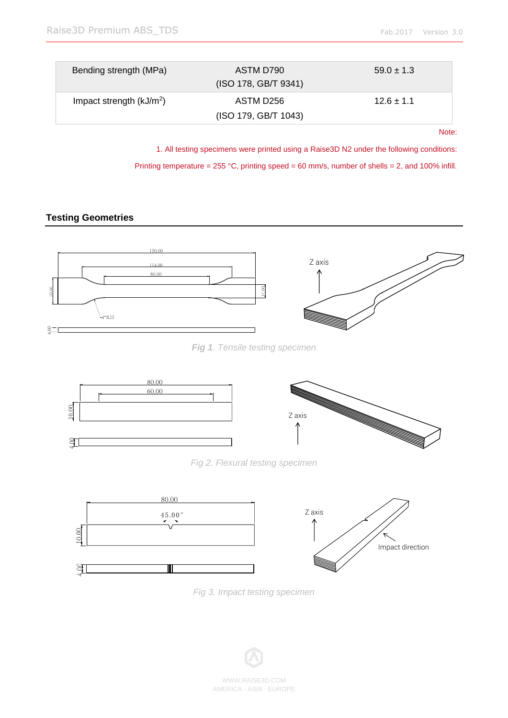| Bending strength (MPa)    | ASTM D790<br>(ISO 178, GB/T 9341) | $59.0 \pm 1.3$ |
|---------------------------|-----------------------------------|----------------|
| Impact strength $(kJ/m2)$ | ASTM D256<br>(ISO 179, GB/T 1043) | $12.6 \pm 1.1$ |

Note:

1. All testing specimens were printed using a Raise3D N2 under the following conditions:

Printing temperature = 255 °C, printing speed = 60 mm/s, number of shells = 2, and 100% infill.

## **Testing Geometries**



*Fig 1. Tensile testing specimen*





*Fig 3. Impact testing specimen*